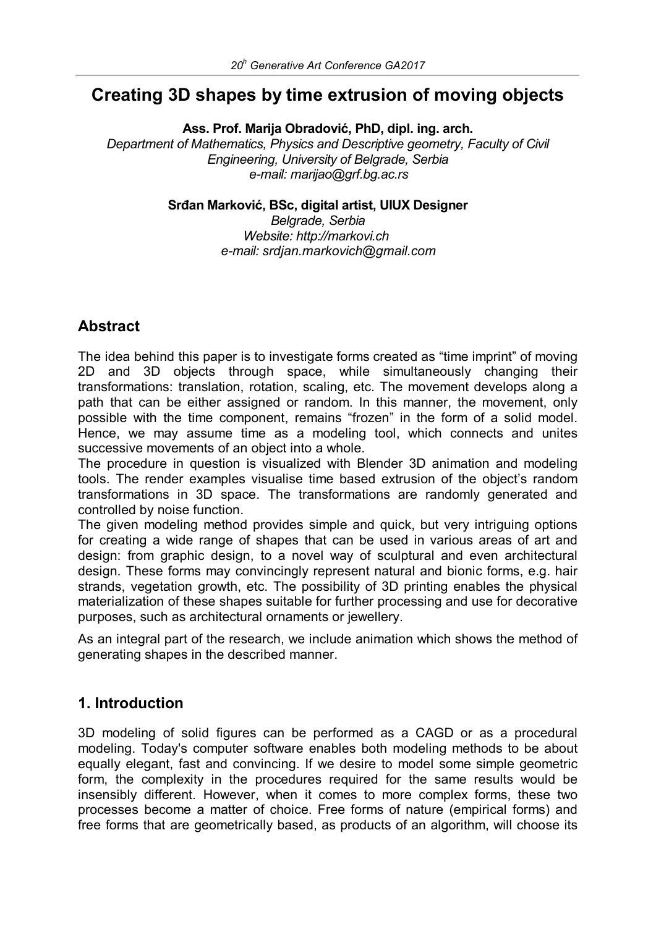# **Creating 3D shapes by time extrusion of moving objects**

**Ass. Prof. Marija Obradović, PhD, dipl. ing. arch.**

*Department of Mathematics, Physics and Descriptive geometry, Faculty of Civil Engineering, University of Belgrade, Serbia e-mail: marijao@grf.bg.ac.rs*

**Srđan Marković, BSc, digital artist, UIUX Designer**

*Belgrade, Serbia Website: http://markovi.ch e-mail: srdjan.markovich@gmail.com*

## **Abstract**

The idea behind this paper is to investigate forms created as "time imprint" of moving 2D and 3D objects through space, while simultaneously changing their transformations: translation, rotation, scaling, etc. The movement develops along a path that can be either assigned or random. In this manner, the movement, only possible with the time component, remains "frozen" in the form of a solid model. Hence, we may assume time as a modeling tool, which connects and unites successive movements of an object into a whole.

The procedure in question is visualized with Blender 3D animation and modeling tools. The render examples visualise time based extrusion of the object's random transformations in 3D space. The transformations are randomly generated and controlled by noise function.

The given modeling method provides simple and quick, but very intriguing options for creating a wide range of shapes that can be used in various areas of art and design: from graphic design, to a novel way of sculptural and even architectural design. These forms may convincingly represent natural and bionic forms, e.g. hair strands, vegetation growth, etc. The possibility of 3D printing enables the physical materialization of these shapes suitable for further processing and use for decorative purposes, such as architectural ornaments or jewellery.

As an integral part of the research, we include animation which shows the method of generating shapes in the described manner.

### **1. Introduction**

3D modeling of solid figures can be performed as a CAGD or as a procedural modeling. Today's computer software enables both modeling methods to be about equally elegant, fast and convincing. If we desire to model some simple geometric form, the complexity in the procedures required for the same results would be insensibly different. However, when it comes to more complex forms, these two processes become a matter of choice. Free forms of nature (empirical forms) and free forms that are geometrically based, as products of an algorithm, will choose its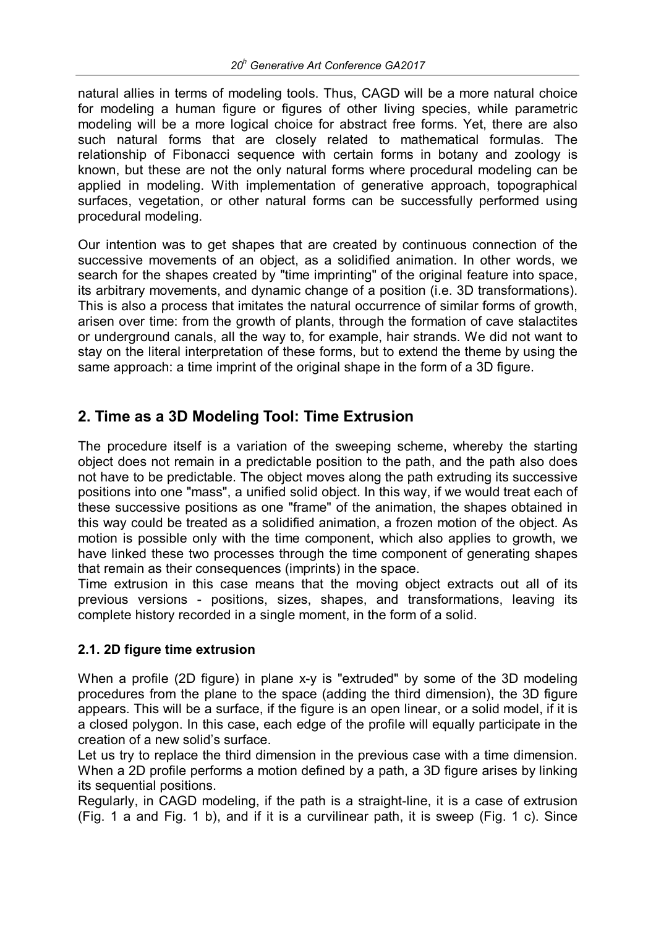natural allies in terms of modeling tools. Thus, CAGD will be a more natural choice for modeling a human figure or figures of other living species, while parametric modeling will be a more logical choice for abstract free forms. Yet, there are also such natural forms that are closely related to mathematical formulas. The relationship of Fibonacci sequence with certain forms in botany and zoology is known, but these are not the only natural forms where procedural modeling can be applied in modeling. With implementation of generative approach, topographical surfaces, vegetation, or other natural forms can be successfully performed using procedural modeling.

Our intention was to get shapes that are created by continuous connection of the successive movements of an object, as a solidified animation. In other words, we search for the shapes created by "time imprinting" of the original feature into space, its arbitrary movements, and dynamic change of a position (i.e. 3D transformations). This is also a process that imitates the natural occurrence of similar forms of growth, arisen over time: from the growth of plants, through the formation of cave stalactites or underground canals, all the way to, for example, hair strands. We did not want to stay on the literal interpretation of these forms, but to extend the theme by using the same approach: a time imprint of the original shape in the form of a 3D figure.

## **2. Time as a 3D Modeling Tool: Time Extrusion**

The procedure itself is a variation of the sweeping scheme, whereby the starting object does not remain in a predictable position to the path, and the path also does not have to be predictable. The object moves along the path extruding its successive positions into one "mass", a unified solid object. In this way, if we would treat each of these successive positions as one "frame" of the animation, the shapes obtained in this way could be treated as a solidified animation, a frozen motion of the object. As motion is possible only with the time component, which also applies to growth, we have linked these two processes through the time component of generating shapes that remain as their consequences (imprints) in the space.

Time extrusion in this case means that the moving object extracts out all of its previous versions - positions, sizes, shapes, and transformations, leaving its complete history recorded in a single moment, in the form of a solid.

#### **2.1. 2D figure time extrusion**

When a profile (2D figure) in plane x-y is "extruded" by some of the 3D modeling procedures from the plane to the space (adding the third dimension), the 3D figure appears. This will be a surface, if the figure is an open linear, or a solid model, if it is a closed polygon. In this case, each edge of the profile will equally participate in the creation of a new solid's surface.

Let us try to replace the third dimension in the previous case with a time dimension. When a 2D profile performs a motion defined by a path, a 3D figure arises by linking its sequential positions.

Regularly, in CAGD modeling, if the path is a straight-line, it is a case of extrusion (Fig. 1 a and Fig. 1 b), and if it is a curvilinear path, it is sweep (Fig. 1 c). Since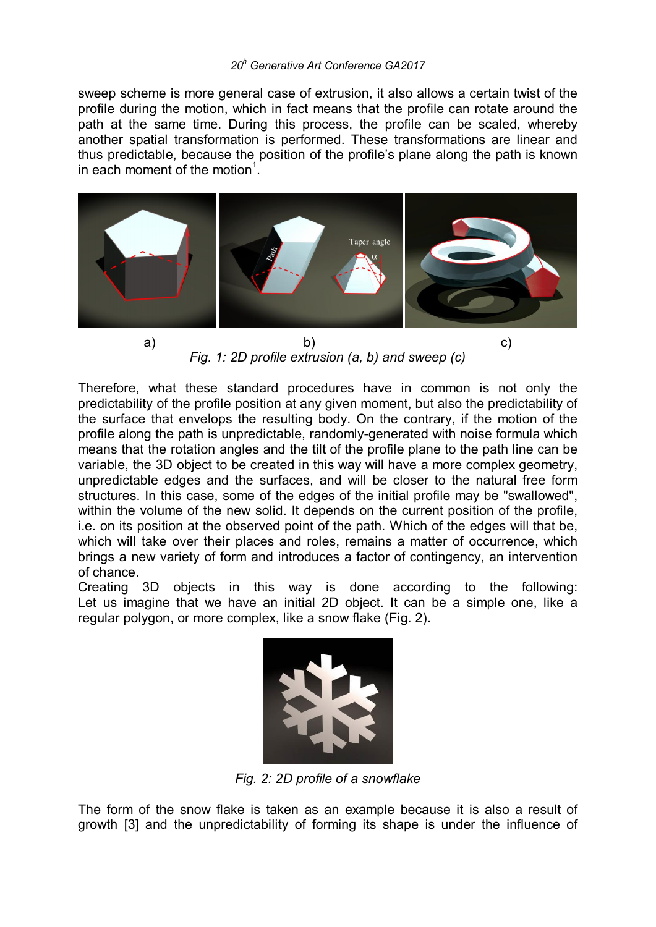sweep scheme is more general case of extrusion, it also allows a certain twist of the profile during the motion, which in fact means that the profile can rotate around the path at the same time. During this process, the profile can be scaled, whereby another spatial transformation is performed. These transformations are linear and thus predictable, because the position of the profile's plane along the path is known in each moment of the motion<sup>1</sup>.



*Fig. 1: 2D profile extrusion (a, b) and sweep (c)*

Therefore, what these standard procedures have in common is not only the predictability of the profile position at any given moment, but also the predictability of the surface that envelops the resulting body. On the contrary, if the motion of the profile along the path is unpredictable, randomly-generated with noise formula which means that the rotation angles and the tilt of the profile plane to the path line can be variable, the 3D object to be created in this way will have a more complex geometry, unpredictable edges and the surfaces, and will be closer to the natural free form structures. In this case, some of the edges of the initial profile may be "swallowed", within the volume of the new solid. It depends on the current position of the profile, i.e. on its position at the observed point of the path. Which of the edges will that be, which will take over their places and roles, remains a matter of occurrence, which brings a new variety of form and introduces a factor of contingency, an intervention of chance.

Creating 3D objects in this way is done according to the following: Let us imagine that we have an initial 2D object. It can be a simple one, like a regular polygon, or more complex, like a snow flake (Fig. 2).



*Fig. 2: 2D profile of a snowflake*

The form of the snow flake is taken as an example because it is also a result of growth [3] and the unpredictability of forming its shape is under the influence of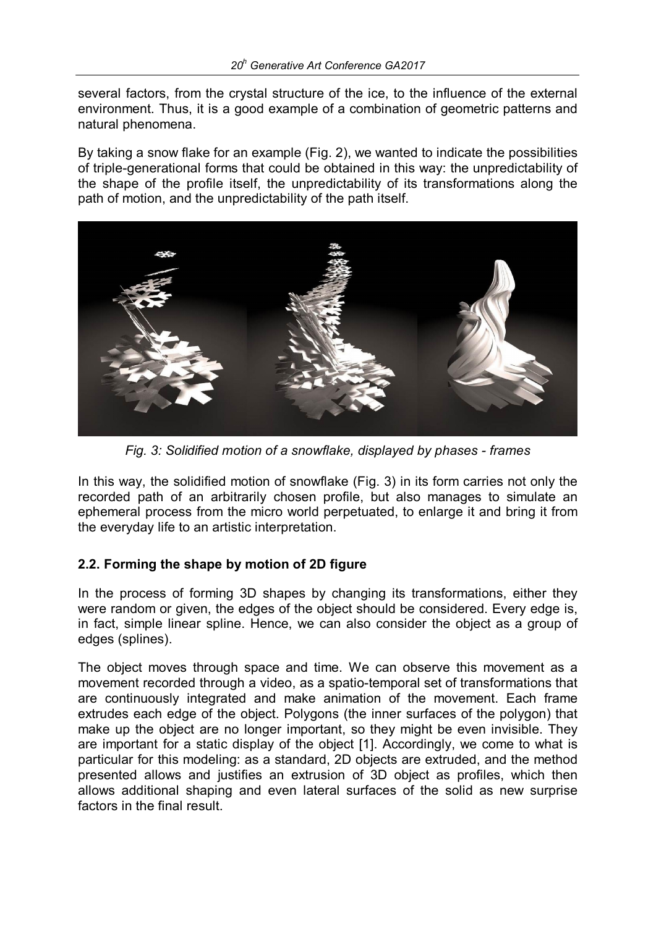several factors, from the crystal structure of the ice, to the influence of the external environment. Thus, it is a good example of a combination of geometric patterns and natural phenomena.

By taking a snow flake for an example (Fig. 2), we wanted to indicate the possibilities of triple-generational forms that could be obtained in this way: the unpredictability of the shape of the profile itself, the unpredictability of its transformations along the path of motion, and the unpredictability of the path itself.



*Fig. 3: Solidified motion of a snowflake, displayed by phases - frames*

In this way, the solidified motion of snowflake (Fig. 3) in its form carries not only the recorded path of an arbitrarily chosen profile, but also manages to simulate an ephemeral process from the micro world perpetuated, to enlarge it and bring it from the everyday life to an artistic interpretation.

#### **2.2. Forming the shape by motion of 2D figure**

In the process of forming 3D shapes by changing its transformations, either they were random or given, the edges of the object should be considered. Every edge is, in fact, simple linear spline. Hence, we can also consider the object as a group of edges (splines).

The object moves through space and time. We can observe this movement as a movement recorded through a video, as a spatio-temporal set of transformations that are continuously integrated and make animation of the movement. Each frame extrudes each edge of the object. Polygons (the inner surfaces of the polygon) that make up the object are no longer important, so they might be even invisible. They are important for a static display of the object [1]. Accordingly, we come to what is particular for this modeling: as a standard, 2D objects are extruded, and the method presented allows and justifies an extrusion of 3D object as profiles, which then allows additional shaping and even lateral surfaces of the solid as new surprise factors in the final result.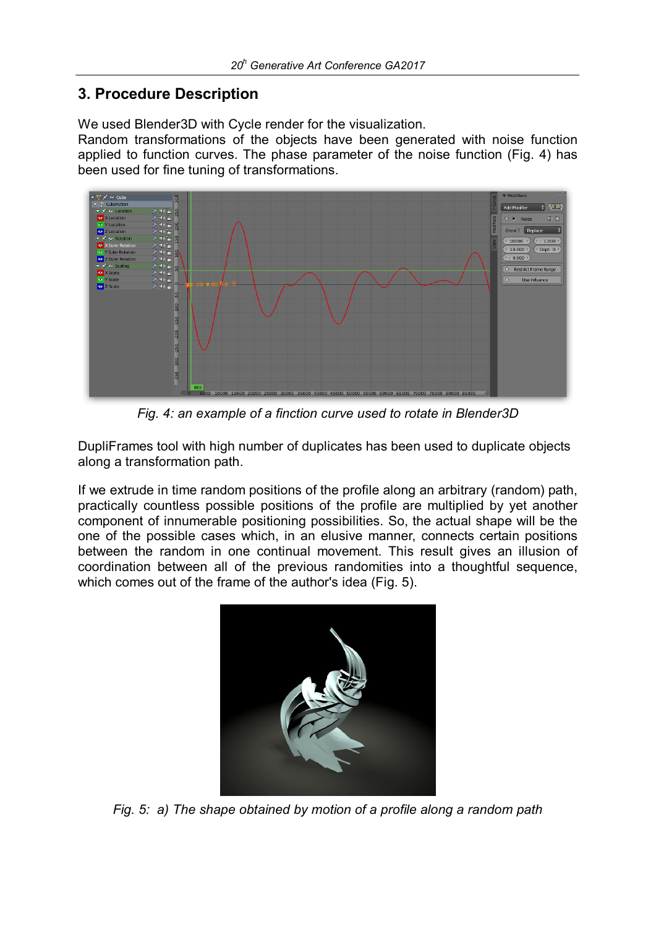## **3. Procedure Description**

We used Blender3D with Cycle render for the visualization.

Random transformations of the objects have been generated with noise function applied to function curves. The phase parameter of the noise function (Fig. 4) has been used for fine tuning of transformations.



*Fig. 4: an example of a finction curve used to rotate in Blender3D*

DupliFrames tool with high number of duplicates has been used to duplicate objects along a transformation path.

If we extrude in time random positions of the profile along an arbitrary (random) path, practically countless possible positions of the profile are multiplied by yet another component of innumerable positioning possibilities. So, the actual shape will be the one of the possible cases which, in an elusive manner, connects certain positions between the random in one continual movement. This result gives an illusion of coordination between all of the previous randomities into a thoughtful sequence, which comes out of the frame of the author's idea (Fig. 5).



*Fig. 5: a) The shape obtained by motion of a profile along a random path*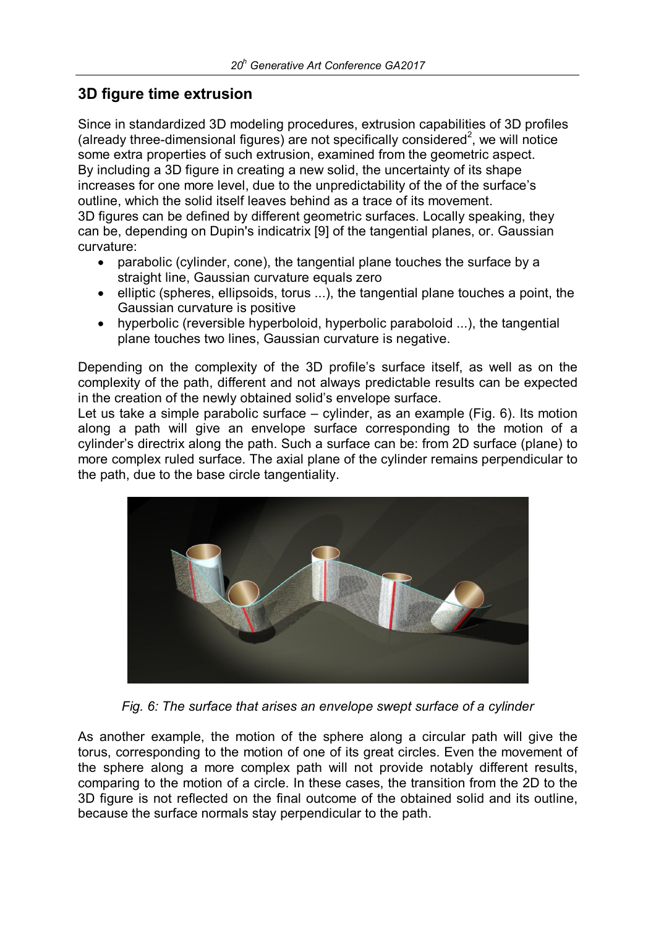### **3D figure time extrusion**

Since in standardized 3D modeling procedures, extrusion capabilities of 3D profiles (already three-dimensional figures) are not specifically considered<sup>2</sup>, we will notice some extra properties of such extrusion, examined from the geometric aspect. By including a 3D figure in creating a new solid, the uncertainty of its shape increases for one more level, due to the unpredictability of the of the surface's outline, which the solid itself leaves behind as a trace of its movement. 3D figures can be defined by different geometric surfaces. Locally speaking, they can be, depending on Dupin's indicatrix [9] of the tangential planes, or. Gaussian curvature:

- parabolic (cylinder, cone), the tangential plane touches the surface by a straight line, Gaussian curvature equals zero
- elliptic (spheres, ellipsoids, torus ...), the tangential plane touches a point, the Gaussian curvature is positive
- hyperbolic (reversible hyperboloid, hyperbolic paraboloid ...), the tangential plane touches two lines, Gaussian curvature is negative.

Depending on the complexity of the 3D profile's surface itself, as well as on the complexity of the path, different and not always predictable results can be expected in the creation of the newly obtained solid's envelope surface.

Let us take a simple parabolic surface – cylinder, as an example (Fig. 6). Its motion along a path will give an envelope surface corresponding to the motion of a cylinder's directrix along the path. Such a surface can be: from 2D surface (plane) to more complex ruled surface. The axial plane of the cylinder remains perpendicular to the path, due to the base circle tangentiality.



*Fig. 6: The surface that arises an envelope swept surface of a cylinder*

As another example, the motion of the sphere along a circular path will give the torus, corresponding to the motion of one of its great circles. Even the movement of the sphere along a more complex path will not provide notably different results, comparing to the motion of a circle. In these cases, the transition from the 2D to the 3D figure is not reflected on the final outcome of the obtained solid and its outline, because the surface normals stay perpendicular to the path.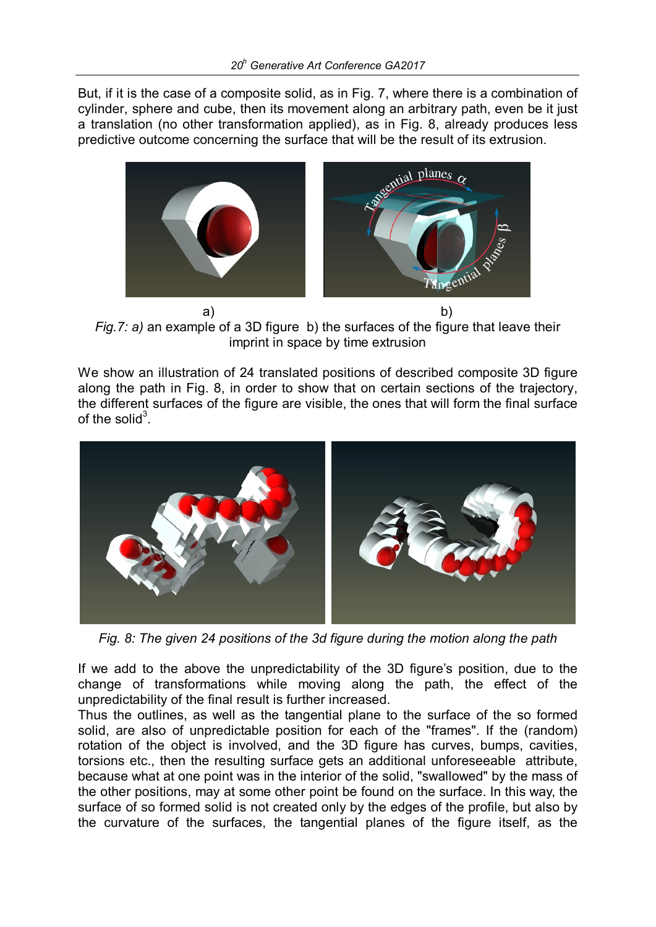But, if it is the case of a composite solid, as in Fig. 7, where there is a combination of cylinder, sphere and cube, then its movement along an arbitrary path, even be it just a translation (no other transformation applied), as in Fig. 8, already produces less predictive outcome concerning the surface that will be the result of its extrusion.



a) b) *Fig.7: a)* an example of a 3D figure b) the surfaces of the figure that leave their imprint in space by time extrusion

We show an illustration of 24 translated positions of described composite 3D figure along the path in Fig. 8, in order to show that on certain sections of the trajectory, the different surfaces of the figure are visible, the ones that will form the final surface of the solid<sup>3</sup>.



*Fig. 8: The given 24 positions of the 3d figure during the motion along the path*

If we add to the above the unpredictability of the 3D figure's position, due to the change of transformations while moving along the path, the effect of the unpredictability of the final result is further increased.

Thus the outlines, as well as the tangential plane to the surface of the so formed solid, are also of unpredictable position for each of the "frames". If the (random) rotation of the object is involved, and the 3D figure has curves, bumps, cavities, torsions etc., then the resulting surface gets an additional unforeseeable attribute, because what at one point was in the interior of the solid, "swallowed" by the mass of the other positions, may at some other point be found on the surface. In this way, the surface of so formed solid is not created only by the edges of the profile, but also by the curvature of the surfaces, the tangential planes of the figure itself, as the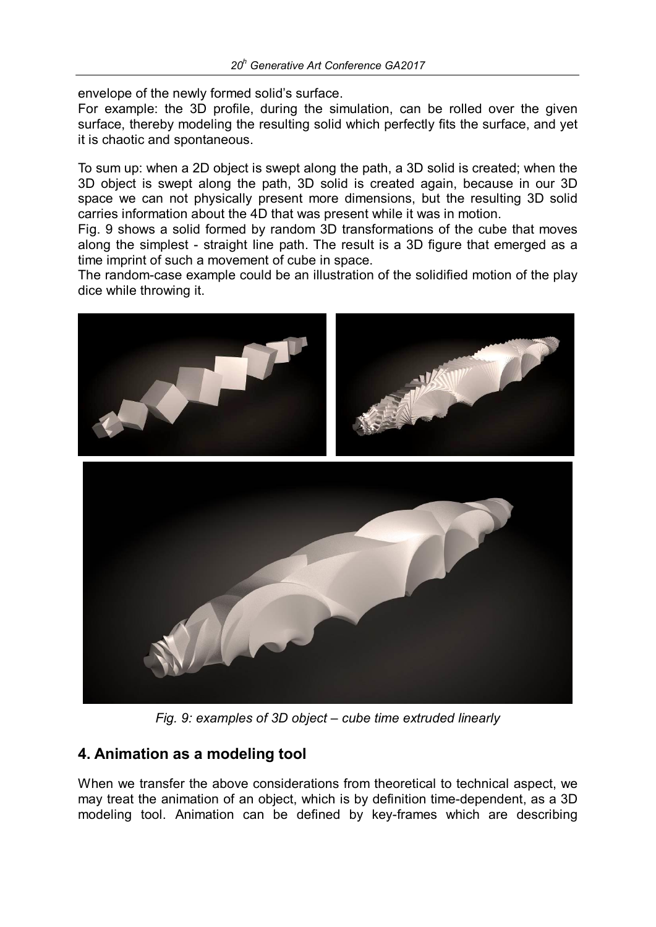envelope of the newly formed solid's surface.

For example: the 3D profile, during the simulation, can be rolled over the given surface, thereby modeling the resulting solid which perfectly fits the surface, and yet it is chaotic and spontaneous.

To sum up: when a 2D object is swept along the path, a 3D solid is created; when the 3D object is swept along the path, 3D solid is created again, because in our 3D space we can not physically present more dimensions, but the resulting 3D solid carries information about the 4D that was present while it was in motion.

Fig. 9 shows a solid formed by random 3D transformations of the cube that moves along the simplest - straight line path. The result is a 3D figure that emerged as a time imprint of such a movement of cube in space.

The random-case example could be an illustration of the solidified motion of the play dice while throwing it.



*Fig. 9: examples of 3D object – cube time extruded linearly*

### **4. Animation as a modeling tool**

When we transfer the above considerations from theoretical to technical aspect, we may treat the animation of an object, which is by definition time-dependent, as a 3D modeling tool. Animation can be defined by key-frames which are describing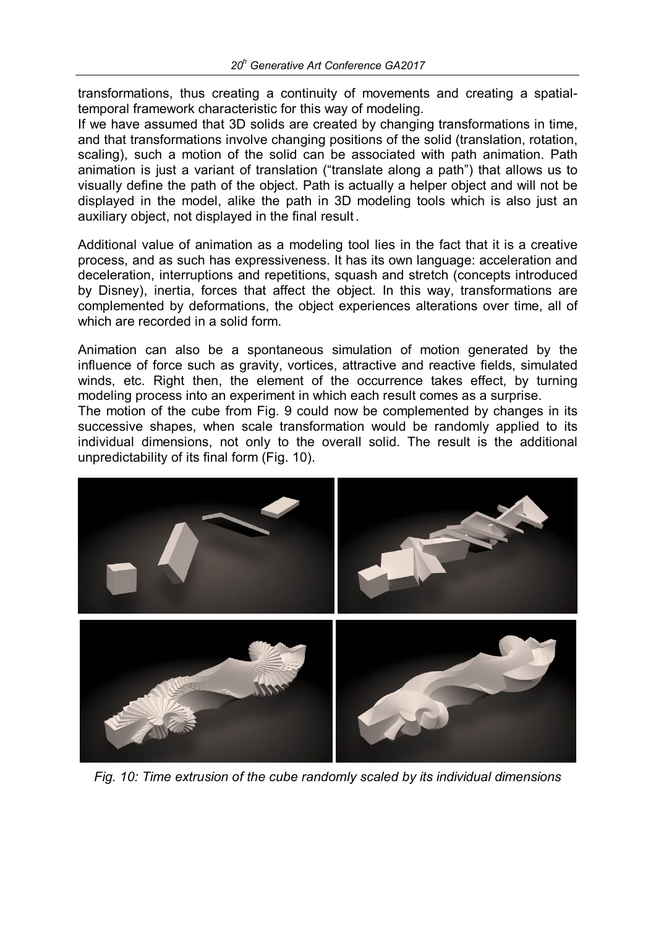transformations, thus creating a continuity of movements and creating a spatialtemporal framework characteristic for this way of modeling.

If we have assumed that 3D solids are created by changing transformations in time, and that transformations involve changing positions of the solid (translation, rotation, scaling), such a motion of the solid can be associated with path animation. Path animation is just a variant of translation ("translate along a path") that allows us to visually define the path of the object. Path is actually a helper object and will not be displayed in the model, alike the path in 3D modeling tools which is also just an auxiliary object, not displayed in the final result .

Additional value of animation as a modeling tool lies in the fact that it is a creative process, and as such has expressiveness. It has its own language: acceleration and deceleration, interruptions and repetitions, squash and stretch (concepts introduced by Disney), inertia, forces that affect the object. In this way, transformations are complemented by deformations, the object experiences alterations over time, all of which are recorded in a solid form.

Animation can also be a spontaneous simulation of motion generated by the influence of force such as gravity, vortices, attractive and reactive fields, simulated winds, etc. Right then, the element of the occurrence takes effect, by turning modeling process into an experiment in which each result comes as a surprise.

The motion of the cube from Fig. 9 could now be complemented by changes in its successive shapes, when scale transformation would be randomly applied to its individual dimensions, not only to the overall solid. The result is the additional unpredictability of its final form (Fig. 10).



*Fig. 10: Time extrusion of the cube randomly scaled by its individual dimensions*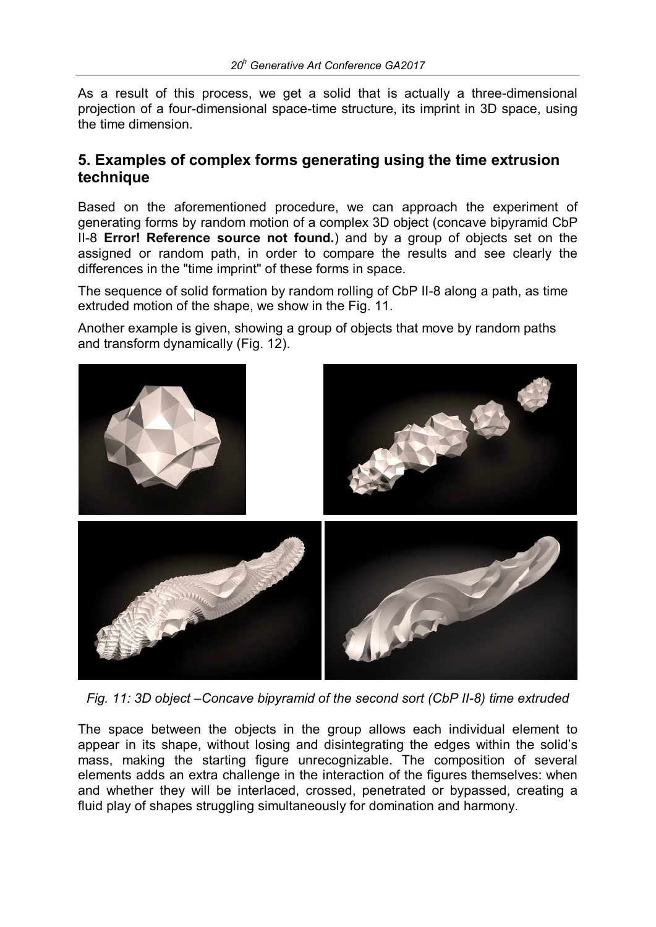As a result of this process, we get a solid that is actually a three-dimensional projection of a four-dimensional space-time structure, its imprint in 3D space, using the time dimension.

#### **5. Examples of complex forms generating using the time extrusion technique**

Based on the aforementioned procedure, we can approach the experiment of generating forms by random motion of a complex 3D object (concave bipyramid CbP II-8 **Error! Reference source not found.**) and by a group of objects set on the assigned or random path, in order to compare the results and see clearly the differences in the "time imprint" of these forms in space.

The sequence of solid formation by random rolling of CbP II-8 along a path, as time extruded motion of the shape, we show in the Fig. 11.

Another example is given, showing a group of objects that move by random paths and transform dynamically (Fig. 12).



*Fig. 11: 3D object –Concave bipyramid of the second sort (CbP II-8) time extruded*

The space between the objects in the group allows each individual element to appear in its shape, without losing and disintegrating the edges within the solid's mass, making the starting figure unrecognizable. The composition of several elements adds an extra challenge in the interaction of the figures themselves: when and whether they will be interlaced, crossed, penetrated or bypassed, creating a fluid play of shapes struggling simultaneously for domination and harmony.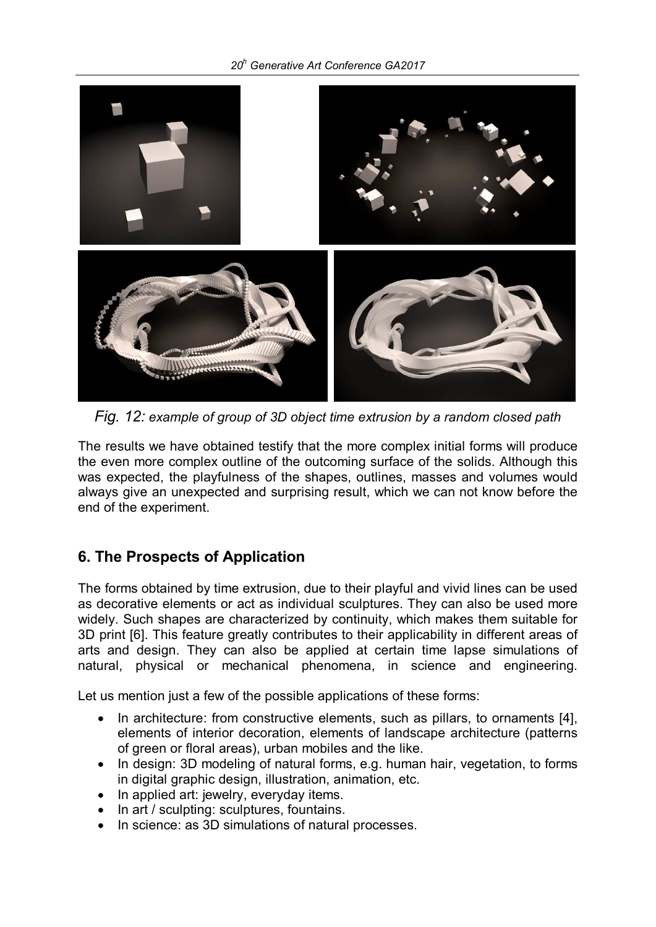#### *20h Generative Art Conference GA2017*



*Fig. 12: example of group of 3D object time extrusion by a random closed path*

The results we have obtained testify that the more complex initial forms will produce the even more complex outline of the outcoming surface of the solids. Although this was expected, the playfulness of the shapes, outlines, masses and volumes would always give an unexpected and surprising result, which we can not know before the end of the experiment.

### **6. The Prospects of Application**

The forms obtained by time extrusion, due to their playful and vivid lines can be used as decorative elements or act as individual sculptures. They can also be used more widely. Such shapes are characterized by continuity, which makes them suitable for 3D print [6]. This feature greatly contributes to their applicability in different areas of arts and design. They can also be applied at certain time lapse simulations of natural, physical or mechanical phenomena, in science and engineering.

Let us mention just a few of the possible applications of these forms:

- In architecture: from constructive elements, such as pillars, to ornaments [4], elements of interior decoration, elements of landscape architecture (patterns of green or floral areas), urban mobiles and the like.
- In design: 3D modeling of natural forms, e.g. human hair, vegetation, to forms in digital graphic design, illustration, animation, etc.
- In applied art: jewelry, everyday items.
- In art / sculpting: sculptures, fountains.
- In science: as 3D simulations of natural processes.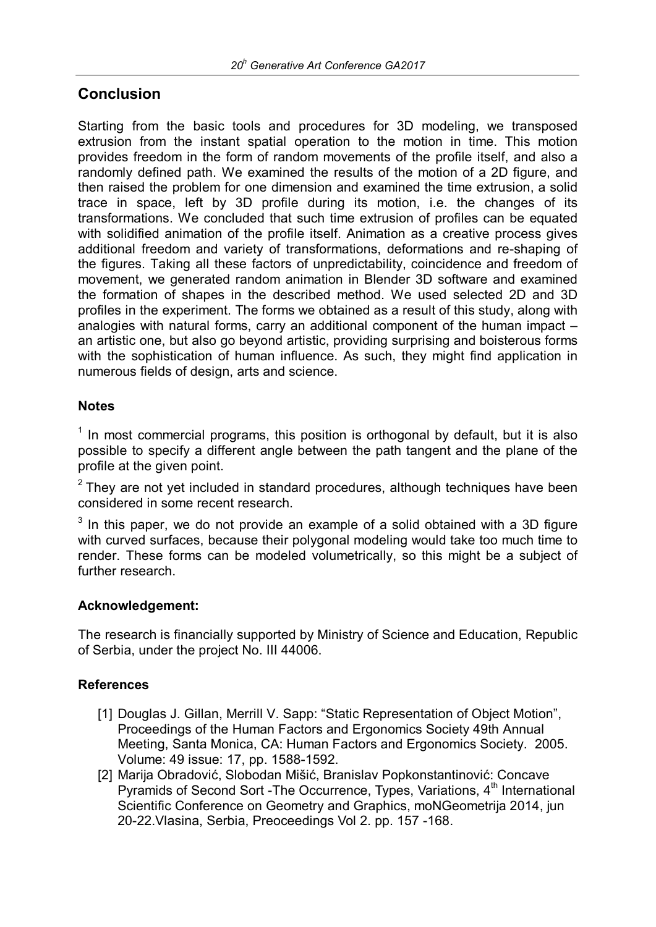## **Conclusion**

Starting from the basic tools and procedures for 3D modeling, we transposed extrusion from the instant spatial operation to the motion in time. This motion provides freedom in the form of random movements of the profile itself, and also a randomly defined path. We examined the results of the motion of a 2D figure, and then raised the problem for one dimension and examined the time extrusion, a solid trace in space, left by 3D profile during its motion, i.e. the changes of its transformations. We concluded that such time extrusion of profiles can be equated with solidified animation of the profile itself. Animation as a creative process gives additional freedom and variety of transformations, deformations and re-shaping of the figures. Taking all these factors of unpredictability, coincidence and freedom of movement, we generated random animation in Blender 3D software and examined the formation of shapes in the described method. We used selected 2D and 3D profiles in the experiment. The forms we obtained as a result of this study, along with analogies with natural forms, carry an additional component of the human impact – an artistic one, but also go beyond artistic, providing surprising and boisterous forms with the sophistication of human influence. As such, they might find application in numerous fields of design, arts and science.

#### **Notes**

 $<sup>1</sup>$  In most commercial programs, this position is orthogonal by default, but it is also</sup> possible to specify a different angle between the path tangent and the plane of the profile at the given point.

 $2$  They are not yet included in standard procedures, although techniques have been considered in some recent research.

 $3$  In this paper, we do not provide an example of a solid obtained with a 3D figure with curved surfaces, because their polygonal modeling would take too much time to render. These forms can be modeled volumetrically, so this might be a subject of further research.

#### **Acknowledgement:**

The research is financially supported by Ministry of Science and Education, Republic of Serbia, under the project No. III 44006.

#### **References**

- [1] Douglas J. Gillan, Merrill V. Sapp: "Static Representation of Object Motion", Proceedings of the Human Factors and Ergonomics Society 49th Annual Meeting, Santa Monica, CA: Human Factors and Ergonomics Society. 2005. Volume: 49 issue: 17, pp. 1588-1592.
- [2] Marija Obradović, Slobodan Mišić, Branislav Popkonstantinović: Concave Pyramids of Second Sort -The Occurrence, Types, Variations, 4<sup>th</sup> International Scientific Conference on Geometry and Graphics, moNGeometrija 2014, jun 20-22.Vlasina, Serbia, Preoceedings Vol 2. pp. 157 -168.